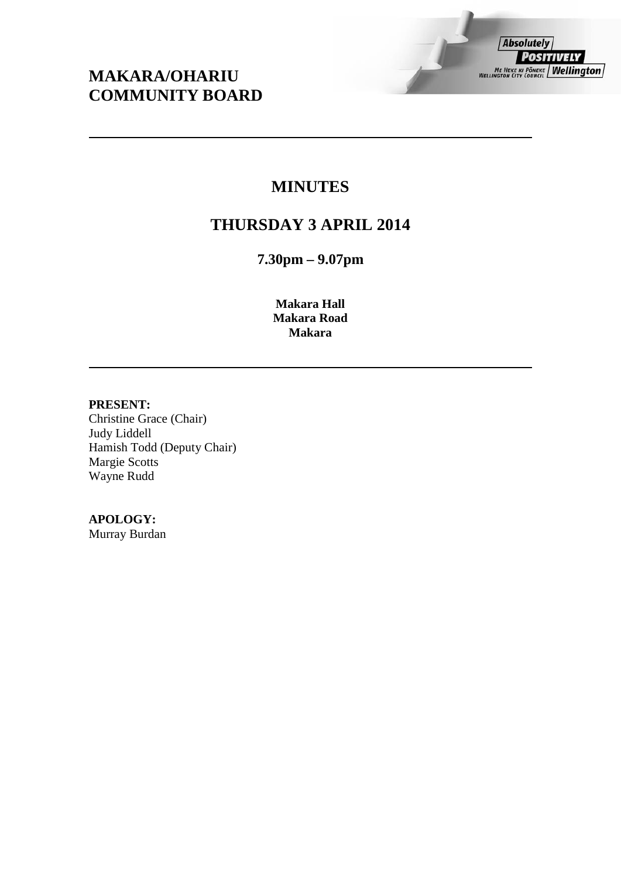# **MAKARA/OHARIU COMMUNITY BOARD**

# **MINUTES**

# **THURSDAY 3 APRIL 2014**

**7.30pm – 9.07pm**

**Makara Hall Makara Road Makara**

### **PRESENT:**

Christine Grace (Chair) Judy Liddell Hamish Todd (Deputy Chair) Margie Scotts Wayne Rudd

# **APOLOGY:**

Murray Burdan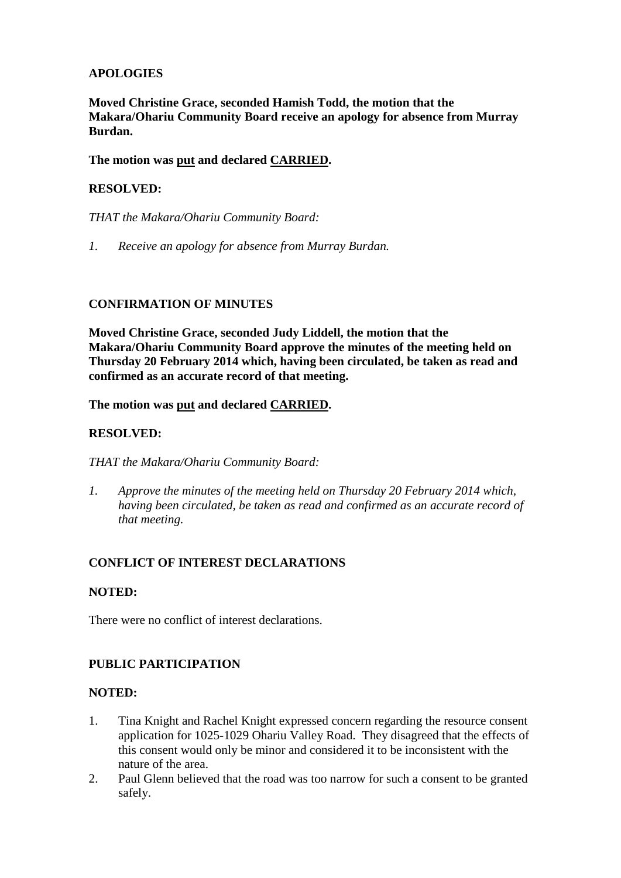# **APOLOGIES**

**Moved Christine Grace, seconded Hamish Todd, the motion that the Makara/Ohariu Community Board receive an apology for absence from Murray Burdan.**

# **The motion was put and declared CARRIED.**

# **RESOLVED:**

*THAT the Makara/Ohariu Community Board:*

*1. Receive an apology for absence from Murray Burdan.*

# **CONFIRMATION OF MINUTES**

**Moved Christine Grace, seconded Judy Liddell, the motion that the Makara/Ohariu Community Board approve the minutes of the meeting held on Thursday 20 February 2014 which, having been circulated, be taken as read and confirmed as an accurate record of that meeting.**

# **The motion was put and declared CARRIED.**

# **RESOLVED:**

*THAT the Makara/Ohariu Community Board:*

*1. Approve the minutes of the meeting held on Thursday 20 February 2014 which, having been circulated, be taken as read and confirmed as an accurate record of that meeting.*

# **CONFLICT OF INTEREST DECLARATIONS**

### **NOTED:**

There were no conflict of interest declarations.

# **PUBLIC PARTICIPATION**

## **NOTED:**

- 1. Tina Knight and Rachel Knight expressed concern regarding the resource consent application for 1025-1029 Ohariu Valley Road. They disagreed that the effects of this consent would only be minor and considered it to be inconsistent with the nature of the area.
- 2. Paul Glenn believed that the road was too narrow for such a consent to be granted safely.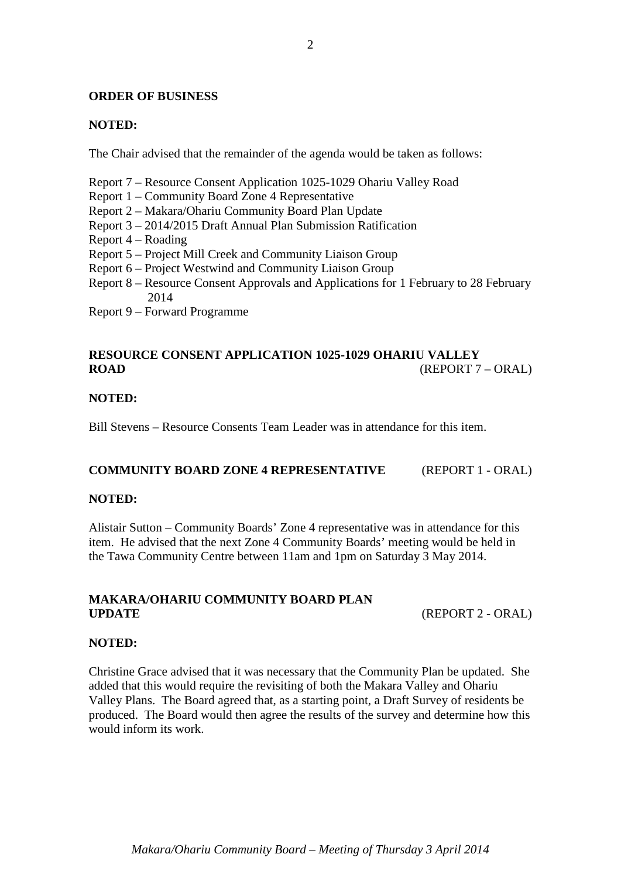#### **ORDER OF BUSINESS**

#### **NOTED:**

The Chair advised that the remainder of the agenda would be taken as follows:

Report 7 – Resource Consent Application 1025-1029 Ohariu Valley Road

- Report 1 Community Board Zone 4 Representative
- Report 2 Makara/Ohariu Community Board Plan Update
- Report 3 2014/2015 Draft Annual Plan Submission Ratification
- Report 4 Roading
- Report 5 Project Mill Creek and Community Liaison Group
- Report 6 Project Westwind and Community Liaison Group
- Report 8 Resource Consent Approvals and Applications for 1 February to 28 February 2014
- Report 9 Forward Programme

# **RESOURCE CONSENT APPLICATION 1025-1029 OHARIU VALLEY ROAD** (REPORT 7 – ORAL)

#### **NOTED:**

Bill Stevens – Resource Consents Team Leader was in attendance for this item.

#### **COMMUNITY BOARD ZONE 4 REPRESENTATIVE** (REPORT 1 - ORAL)

#### **NOTED:**

Alistair Sutton – Community Boards' Zone 4 representative was in attendance for this item. He advised that the next Zone 4 Community Boards' meeting would be held in the Tawa Community Centre between 11am and 1pm on Saturday 3 May 2014.

### **MAKARA/OHARIU COMMUNITY BOARD PLAN UPDATE** (REPORT 2 - ORAL)

#### **NOTED:**

Christine Grace advised that it was necessary that the Community Plan be updated. She added that this would require the revisiting of both the Makara Valley and Ohariu Valley Plans. The Board agreed that, as a starting point, a Draft Survey of residents be produced. The Board would then agree the results of the survey and determine how this would inform its work.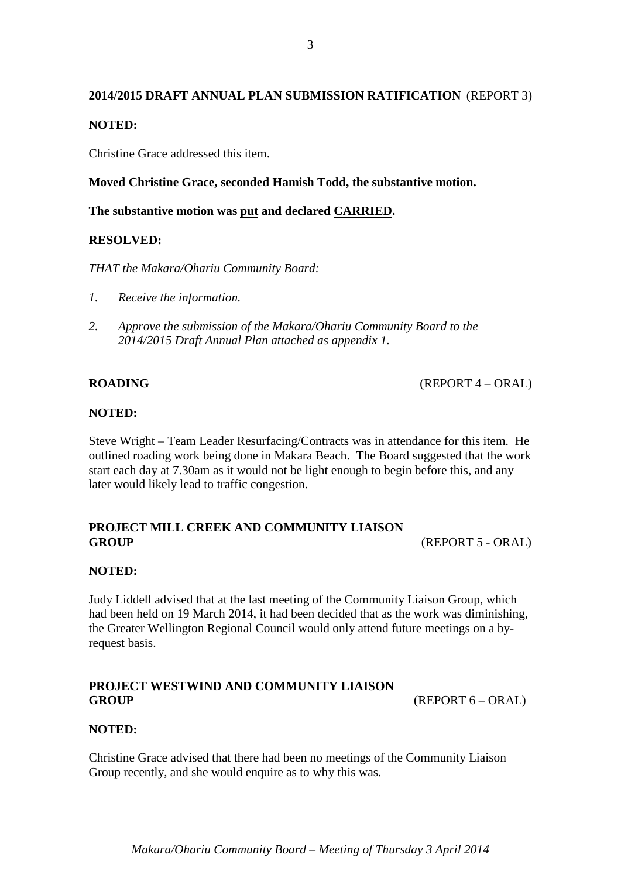# **2014/2015 DRAFT ANNUAL PLAN SUBMISSION RATIFICATION** (REPORT 3) **NOTED:**

Christine Grace addressed this item.

**Moved Christine Grace, seconded Hamish Todd, the substantive motion.**

**The substantive motion was put and declared CARRIED.**

# **RESOLVED:**

*THAT the Makara/Ohariu Community Board:*

- *1. Receive the information.*
- *2. Approve the submission of the Makara/Ohariu Community Board to the 2014/2015 Draft Annual Plan attached as appendix 1.*

**ROADING** (REPORT 4 – ORAL)

# **NOTED:**

Steve Wright – Team Leader Resurfacing/Contracts was in attendance for this item. He outlined roading work being done in Makara Beach. The Board suggested that the work start each day at 7.30am as it would not be light enough to begin before this, and any later would likely lead to traffic congestion.

# **PROJECT MILL CREEK AND COMMUNITY LIAISON GROUP** (REPORT 5 - ORAL)

### **NOTED:**

Judy Liddell advised that at the last meeting of the Community Liaison Group, which had been held on 19 March 2014, it had been decided that as the work was diminishing, the Greater Wellington Regional Council would only attend future meetings on a byrequest basis.

# **PROJECT WESTWIND AND COMMUNITY LIAISON**  GROUP (REPORT 6 – ORAL)

# **NOTED:**

Christine Grace advised that there had been no meetings of the Community Liaison Group recently, and she would enquire as to why this was.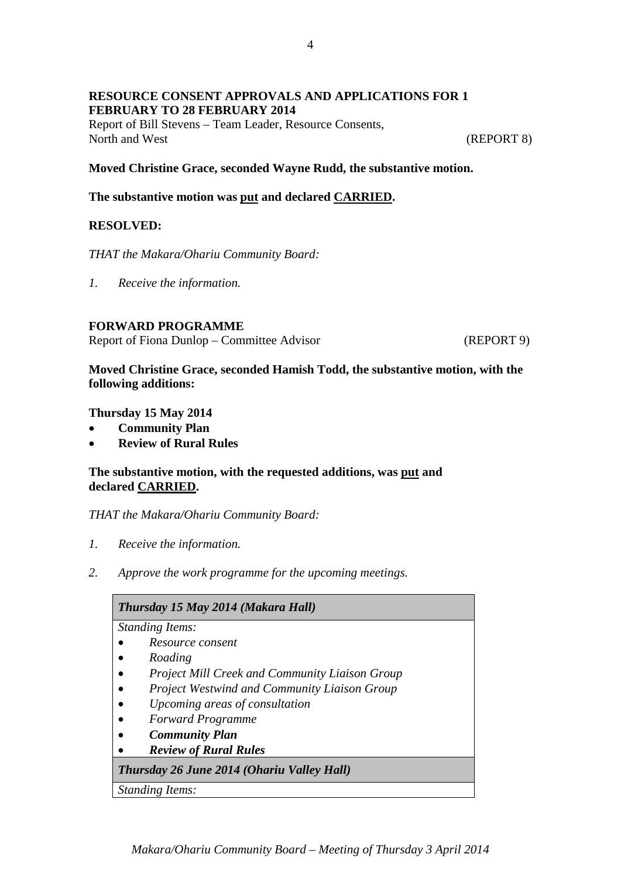# **RESOURCE CONSENT APPROVALS AND APPLICATIONS FOR 1 FEBRUARY TO 28 FEBRUARY 2014**

Report of Bill Stevens – Team Leader, Resource Consents, North and West (REPORT 8)

**Moved Christine Grace, seconded Wayne Rudd, the substantive motion.**

**The substantive motion was put and declared CARRIED.**

# **RESOLVED:**

*THAT the Makara/Ohariu Community Board:*

*1. Receive the information.*

### **FORWARD PROGRAMME**

Report of Fiona Dunlop – Committee Advisor (REPORT 9)

**Moved Christine Grace, seconded Hamish Todd, the substantive motion, with the following additions:**

**Thursday 15 May 2014**

- **Community Plan**
- **Review of Rural Rules**

# **The substantive motion, with the requested additions, was put and declared CARRIED.**

*THAT the Makara/Ohariu Community Board:*

- *1. Receive the information.*
- *2. Approve the work programme for the upcoming meetings.*

| Thursday 15 May 2014 (Makara Hall)                    |
|-------------------------------------------------------|
| <b>Standing Items:</b>                                |
| Resource consent                                      |
| Roading                                               |
| <b>Project Mill Creek and Community Liaison Group</b> |
| <b>Project Westwind and Community Liaison Group</b>   |
| Upcoming areas of consultation                        |
| <b>Forward Programme</b>                              |
| <b>Community Plan</b>                                 |
| <b>Review of Rural Rules</b>                          |
| Thursday 26 June 2014 (Ohariu Valley Hall)            |
| <b>Standing Items:</b>                                |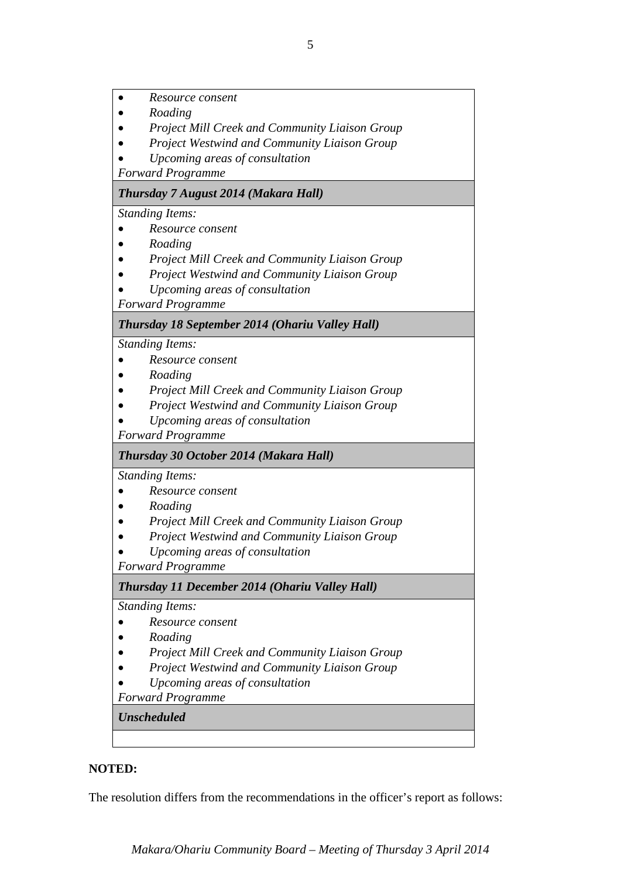• *Resource consent*

- *Roading*
- *Project Mill Creek and Community Liaison Group*
- *Project Westwind and Community Liaison Group*
- *Upcoming areas of consultation*

*Forward Programme*

# *Thursday 7 August 2014 (Makara Hall)*

*Standing Items:*

- *Resource consent*
- *Roading*
- *Project Mill Creek and Community Liaison Group*
- *Project Westwind and Community Liaison Group*
- *Upcoming areas of consultation*

*Forward Programme*

# *Thursday 18 September 2014 (Ohariu Valley Hall)*

*Standing Items:*

- *Resource consent*
- *Roading*
- *Project Mill Creek and Community Liaison Group*
- *Project Westwind and Community Liaison Group*
- *Upcoming areas of consultation*

*Forward Programme*

# *Thursday 30 October 2014 (Makara Hall)*

*Standing Items:*

- *Resource consent*
- *Roading*
- *Project Mill Creek and Community Liaison Group*
- *Project Westwind and Community Liaison Group*
- *Upcoming areas of consultation*

*Forward Programme*

*Thursday 11 December 2014 (Ohariu Valley Hall)*

### *Standing Items:*

- *Resource consent*
- *Roading*
- *Project Mill Creek and Community Liaison Group*
- *Project Westwind and Community Liaison Group*
- *Upcoming areas of consultation*

*Forward Programme*

*Unscheduled*

# **NOTED:**

The resolution differs from the recommendations in the officer's report as follows:

*Makara/Ohariu Community Board – Meeting of Thursday 3 April 2014*